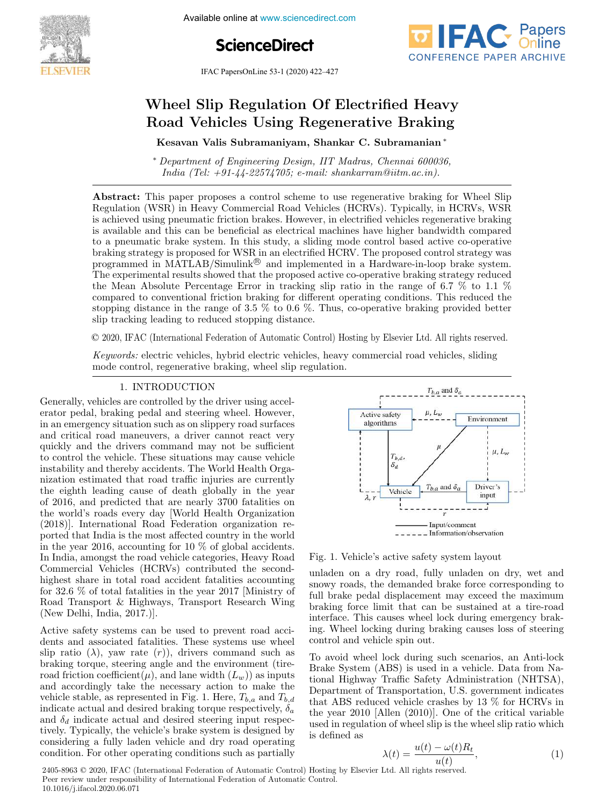Available online at www.sciencedirect.com





IFAC PapersOnLine 53-1 (2020) 422–427

# Wheel Slip Regulation Of Electrified Heavy Road Vehicles Using Regenerative Braking

Kesavan Valis Subramaniyam, Shankar C. Subramanian <sup>∗</sup>

<sup>∗</sup> Department of Engineering Design, IIT Madras, Chennai 600036, India (Tel:  $+91-44-22574705$ ; e-mail: shankarram@iitm.ac.in).

Abstract: This paper proposes a control scheme to use regenerative braking for Wheel Slip Regulation (WSR) in Heavy Commercial Road Vehicles (HCRVs). Typically, in HCRVs, WSR is achieved using pneumatic friction brakes. However, in electrified vehicles regenerative braking is available and this can be beneficial as electrical machines have higher bandwidth compared to a pneumatic brake system. In this study, a sliding mode control based active co-operative braking strategy is proposed for WSR in an electrified HCRV. The proposed control strategy was programmed in MATLAB/Simulink<sup>®</sup> and implemented in a Hardware-in-loop brake system. The experimental results showed that the proposed active co-operative braking strategy reduced the Mean Absolute Percentage Error in tracking slip ratio in the range of 6.7  $\%$  to 1.1  $\%$ compared to conventional friction braking for different operating conditions. This reduced the stopping distance in the range of 3.5  $\%$  to 0.6  $\%$ . Thus, co-operative braking provided better slip tracking leading to reduced stopping distance.

© 2020, IFAC (International Federation of Automatic Control) Hosting by Elsevier Ltd. All rights reserved.

Keywords: electric vehicles, hybrid electric vehicles, heavy commercial road vehicles, sliding mode control, regenerative braking, wheel slip regulation.

## 1. INTRODUCTION

Generally, vehicles are controlled by the driver using accelerator pedal, braking pedal and steering wheel. However, in an emergency situation such as on slippery road surfaces and critical road maneuvers, a driver cannot react very quickly and the drivers command may not be sufficient to control the vehicle. These situations may cause vehicle instability and thereby accidents. The World Health Organization estimated that road traffic injuries are currently the eighth leading cause of death globally in the year of 2016, and predicted that are nearly 3700 fatalities on the world's roads every day [World Health Organization (2018)]. International Road Federation organization reported that India is the most affected country in the world in the year 2016, accounting for 10 % of global accidents. In India, amongst the road vehicle categories, Heavy Road Commercial Vehicles (HCRVs) contributed the secondhighest share in total road accident fatalities accounting for 32.6 % of total fatalities in the year 2017 [Ministry of Road Transport & Highways, Transport Research Wing (New Delhi, India, 2017.)].

Active safety systems can be used to prevent road accidents and associated fatalities. These systems use wheel slip ratio  $(\lambda)$ , yaw rate  $(r)$ , drivers command such as braking torque, steering angle and the environment (tireroad friction coefficient( $\mu$ ), and lane width  $(L_w)$ ) as inputs and accordingly take the necessary action to make the vehicle stable, as represented in Fig. 1. Here,  $T_{b,a}$  and  $T_{b,d}$ indicate actual and desired braking torque respectively,  $\delta_a$ and  $\delta_d$  indicate actual and desired steering input respectively. Typically, the vehicle's brake system is designed by considering a fully laden vehicle and dry road operating condition. For other operating conditions such as partially



Fig. 1. Vehicle's active safety system layout

unladen on a dry road, fully unladen on dry, wet and snowy roads, the demanded brake force corresponding to full brake pedal displacement may exceed the maximum braking force limit that can be sustained at a tire-road interface. This causes wheel lock during emergency braking. Wheel locking during braking causes loss of steering control and vehicle spin out.

To avoid wheel lock during such scenarios, an Anti-lock Brake System (ABS) is used in a vehicle. Data from National Highway Traffic Safety Administration (NHTSA), Department of Transportation, U.S. government indicates that ABS reduced vehicle crashes by 13 % for HCRVs in the year 2010 [Allen (2010)]. One of the critical variable used in regulation of wheel slip is the wheel slip ratio which is defined as

$$
\lambda(t) = \frac{u(t) - \omega(t)R_t}{u(t)},\tag{1}
$$

2405-8963 © 2020, IFAC (International Federation of Automatic Control) Hosting by Elsevier Ltd. All rights reserved. Peer review under responsibility of International Federation of Automatic Control. 10.1016/j.ifacol.2020.06.071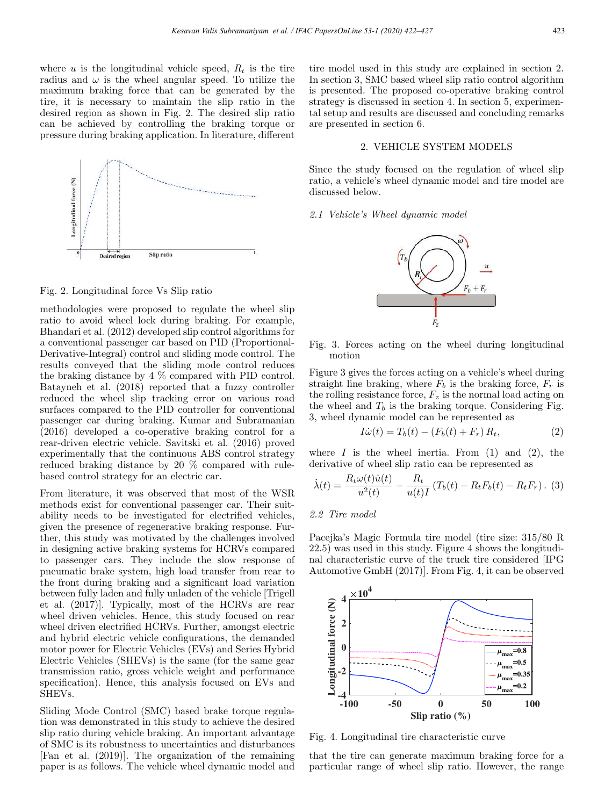where u is the longitudinal vehicle speed,  $R_t$  is the tire radius and  $\omega$  is the wheel angular speed. To utilize the maximum braking force that can be generated by the tire, it is necessary to maintain the slip ratio in the desired region as shown in Fig. 2. The desired slip ratio can be achieved by controlling the braking torque or pressure during braking application. In literature, different



Fig. 2. Longitudinal force Vs Slip ratio

methodologies were proposed to regulate the wheel slip ratio to avoid wheel lock during braking. For example, Bhandari et al. (2012) developed slip control algorithms for a conventional passenger car based on PID (Proportional-Derivative-Integral) control and sliding mode control. The results conveyed that the sliding mode control reduces the braking distance by 4 % compared with PID control. Batayneh et al. (2018) reported that a fuzzy controller reduced the wheel slip tracking error on various road surfaces compared to the PID controller for conventional passenger car during braking. Kumar and Subramanian (2016) developed a co-operative braking control for a rear-driven electric vehicle. Savitski et al. (2016) proved experimentally that the continuous ABS control strategy reduced braking distance by 20 % compared with rulebased control strategy for an electric car.

From literature, it was observed that most of the WSR methods exist for conventional passenger car. Their suitability needs to be investigated for electrified vehicles, given the presence of regenerative braking response. Further, this study was motivated by the challenges involved in designing active braking systems for HCRVs compared to passenger cars. They include the slow response of pneumatic brake system, high load transfer from rear to the front during braking and a significant load variation between fully laden and fully unladen of the vehicle [Trigell et al. (2017)]. Typically, most of the HCRVs are rear wheel driven vehicles. Hence, this study focused on rear wheel driven electrified HCRVs. Further, amongst electric and hybrid electric vehicle configurations, the demanded motor power for Electric Vehicles (EVs) and Series Hybrid Electric Vehicles (SHEVs) is the same (for the same gear transmission ratio, gross vehicle weight and performance specification). Hence, this analysis focused on EVs and SHEVs.

Sliding Mode Control (SMC) based brake torque regulation was demonstrated in this study to achieve the desired slip ratio during vehicle braking. An important advantage of SMC is its robustness to uncertainties and disturbances [Fan et al. (2019)]. The organization of the remaining paper is as follows. The vehicle wheel dynamic model and

tire model used in this study are explained in section 2. In section 3, SMC based wheel slip ratio control algorithm is presented. The proposed co-operative braking control strategy is discussed in section 4. In section 5, experimental setup and results are discussed and concluding remarks are presented in section 6.

# 2. VEHICLE SYSTEM MODELS

Since the study focused on the regulation of wheel slip ratio, a vehicle's wheel dynamic model and tire model are discussed below.

#### 2.1 Vehicle's Wheel dynamic model



Fig. 3. Forces acting on the wheel during longitudinal motion

Figure 3 gives the forces acting on a vehicle's wheel during straight line braking, where  $F_b$  is the braking force,  $F_r$  is the rolling resistance force,  $F_z$  is the normal load acting on the wheel and  $T_b$  is the braking torque. Considering Fig. 3, wheel dynamic model can be represented as

$$
I\dot{\omega}(t) = T_b(t) - (F_b(t) + F_r) R_t,
$$
\n(2)

where  $I$  is the wheel inertia. From (1) and (2), the derivative of wheel slip ratio can be represented as

$$
\dot{\lambda}(t) = \frac{R_t \omega(t) \dot{u}(t)}{u^2(t)} - \frac{R_t}{u(t)I} \left( T_b(t) - R_t F_b(t) - R_t F_r \right). (3)
$$

### 2.2 Tire model

Pacejka's Magic Formula tire model (tire size: 315/80 R 22.5) was used in this study. Figure 4 shows the longitudinal characteristic curve of the truck tire considered [IPG Automotive GmbH (2017)]. From Fig. 4, it can be observed



Fig. 4. Longitudinal tire characteristic curve

that the tire can generate maximum braking force for a particular range of wheel slip ratio. However, the range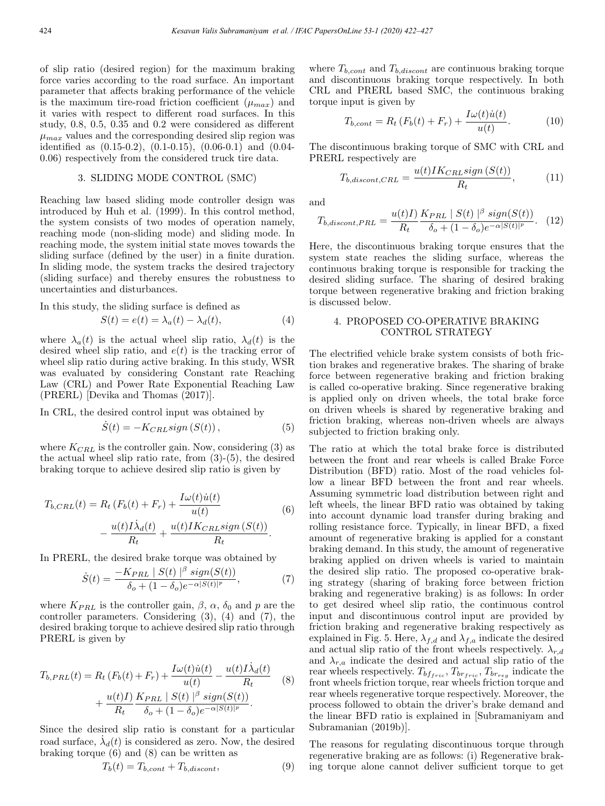of slip ratio (desired region) for the maximum braking force varies according to the road surface. An important parameter that affects braking performance of the vehicle is the maximum tire-road friction coefficient  $(\mu_{max})$  and it varies with respect to different road surfaces. In this study, 0.8, 0.5, 0.35 and 0.2 were considered as different  $\mu_{max}$  values and the corresponding desired slip region was identified as (0.15-0.2), (0.1-0.15), (0.06-0.1) and (0.04- 0.06) respectively from the considered truck tire data.

## 3. SLIDING MODE CONTROL (SMC)

Reaching law based sliding mode controller design was introduced by Huh et al. (1999). In this control method, the system consists of two modes of operation namely, reaching mode (non-sliding mode) and sliding mode. In reaching mode, the system initial state moves towards the sliding surface (defined by the user) in a finite duration. In sliding mode, the system tracks the desired trajectory (sliding surface) and thereby ensures the robustness to uncertainties and disturbances.

In this study, the sliding surface is defined as

$$
S(t) = e(t) = \lambda_a(t) - \lambda_d(t), \tag{4}
$$

where  $\lambda_a(t)$  is the actual wheel slip ratio,  $\lambda_d(t)$  is the desired wheel slip ratio, and  $e(t)$  is the tracking error of wheel slip ratio during active braking. In this study, WSR was evaluated by considering Constant rate Reaching Law (CRL) and Power Rate Exponential Reaching Law (PRERL) [Devika and Thomas (2017)].

In CRL, the desired control input was obtained by

$$
\dot{S}(t) = -K_{CRL}sign\left(S(t)\right),\tag{5}
$$

where  $K_{CRL}$  is the controller gain. Now, considering (3) as the actual wheel slip ratio rate, from (3)-(5), the desired braking torque to achieve desired slip ratio is given by

$$
T_{b,CRL}(t) = R_t (F_b(t) + F_r) + \frac{I\omega(t)\dot{u}(t)}{u(t)}
$$

$$
- \frac{u(t)I\dot{\lambda}_d(t)}{R_t} + \frac{u(t)IK_{CRL}sign(S(t))}{R_t}.
$$
(6)

In PRERL, the desired brake torque was obtained by

$$
\dot{S}(t) = \frac{-K_{PRL} \mid S(t) \mid^{\beta} sign(S(t))}{\delta_o + (1 - \delta_o)e^{-\alpha |S(t)|^p}},\tag{7}
$$

where  $K_{PRL}$  is the controller gain,  $\beta$ ,  $\alpha$ ,  $\delta_0$  and p are the controller parameters. Considering (3), (4) and (7), the desired braking torque to achieve desired slip ratio through PRERL is given by

$$
T_{b,PRE}(t) = R_t (F_b(t) + F_r) + \frac{I\omega(t)\dot{u}(t)}{u(t)} - \frac{u(t)I\dot{\lambda}_d(t)}{R_t}
$$
  
+ 
$$
\frac{u(t)I}{R_t} \frac{K_{PRL} |S(t)|^{\beta} sign(S(t))}{\delta_o + (1 - \delta_o)e^{-\alpha |S(t)|^p}}.
$$
 (8)

Since the desired slip ratio is constant for a particular road surface,  $\dot{\lambda}_d(t)$  is considered as zero. Now, the desired braking torque  $(6)$  and  $(8)$  can be written as

$$
T_b(t) = T_{b,cont} + T_{b,discont},\tag{9}
$$

where  $T_{b,cont}$  and  $T_{b,discont}$  are continuous braking torque and discontinuous braking torque respectively. In both CRL and PRERL based SMC, the continuous braking torque input is given by

$$
T_{b,cont} = R_t \left( F_b(t) + F_r \right) + \frac{I\omega(t)\dot{u}(t)}{u(t)}.
$$
 (10)

The discontinuous braking torque of SMC with CRL and PRERL respectively are

$$
T_{b,discont,CRL} = \frac{u(t)IK_{CRL}sign\left(S(t)\right)}{R_t},\tag{11}
$$

and

$$
T_{b,discont,PRI} = \frac{u(t)I)}{R_t} \frac{K_{PRI} \mid S(t) \mid^{\beta} sign(S(t))}{\delta_o + (1 - \delta_o)e^{-\alpha|S(t)|^p}}. \tag{12}
$$

Here, the discontinuous braking torque ensures that the system state reaches the sliding surface, whereas the continuous braking torque is responsible for tracking the desired sliding surface. The sharing of desired braking torque between regenerative braking and friction braking is discussed below.

# 4. PROPOSED CO-OPERATIVE BRAKING CONTROL STRATEGY

The electrified vehicle brake system consists of both friction brakes and regenerative brakes. The sharing of brake force between regenerative braking and friction braking is called co-operative braking. Since regenerative braking is applied only on driven wheels, the total brake force on driven wheels is shared by regenerative braking and friction braking, whereas non-driven wheels are always subjected to friction braking only.

The ratio at which the total brake force is distributed between the front and rear wheels is called Brake Force Distribution (BFD) ratio. Most of the road vehicles follow a linear BFD between the front and rear wheels. Assuming symmetric load distribution between right and left wheels, the linear BFD ratio was obtained by taking into account dynamic load transfer during braking and rolling resistance force. Typically, in linear BFD, a fixed amount of regenerative braking is applied for a constant braking demand. In this study, the amount of regenerative braking applied on driven wheels is varied to maintain the desired slip ratio. The proposed co-operative braking strategy (sharing of braking force between friction braking and regenerative braking) is as follows: In order to get desired wheel slip ratio, the continuous control input and discontinuous control input are provided by friction braking and regenerative braking respectively as explained in Fig. 5. Here,  $\lambda_{f,d}$  and  $\lambda_{f,a}$  indicate the desired and actual slip ratio of the front wheels respectively.  $\lambda_{r,d}$ and  $\lambda_{r,a}$  indicate the desired and actual slip ratio of the rear wheels respectively.  $T_{bf_{fric}}$ ,  $T_{br_{fric}}$ ,  $T_{br_{reg}}$  indicate the front wheels friction torque, rear wheels friction torque and rear wheels regenerative torque respectively. Moreover, the process followed to obtain the driver's brake demand and the linear BFD ratio is explained in [Subramaniyam and Subramanian (2019b)].

The reasons for regulating discontinuous torque through regenerative braking are as follows: (i) Regenerative braking torque alone cannot deliver sufficient torque to get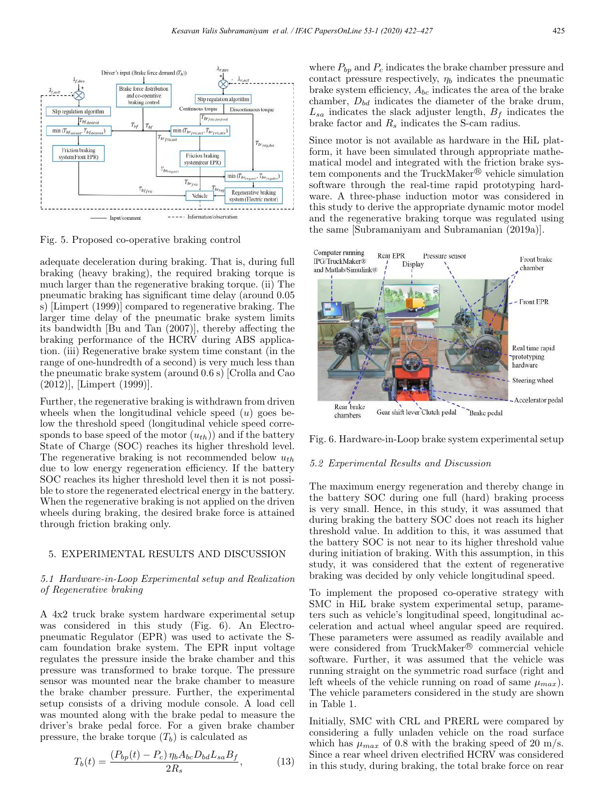

Fig. 5. Proposed co-operative braking control

adequate deceleration during braking. That is, during full braking (heavy braking), the required braking torque is much larger than the regenerative braking torque. (ii) The pneumatic braking has significant time delay (around 0.05 s) [Limpert (1999)] compared to regenerative braking. The larger time delay of the pneumatic brake system limits its bandwidth [Bu and Tan (2007)], thereby affecting the braking performance of the HCRV during ABS application. (iii) Regenerative brake system time constant (in the range of one-hundredth of a second) is very much less than the pneumatic brake system (around 0.6 s) [Crolla and Cao (2012)], [Limpert (1999)].

Further, the regenerative braking is withdrawn from driven wheels when the longitudinal vehicle speed  $(u)$  goes below the threshold speed (longitudinal vehicle speed corresponds to base speed of the motor  $(u_{th})$  and if the battery State of Charge (SOC) reaches its higher threshold level. The regenerative braking is not recommended below  $u_{th}$ due to low energy regeneration efficiency. If the battery SOC reaches its higher threshold level then it is not possible to store the regenerated electrical energy in the battery. When the regenerative braking is not applied on the driven wheels during braking, the desired brake force is attained through friction braking only.

# 5. EXPERIMENTAL RESULTS AND DISCUSSION

## 5.1 Hardware-in-Loop Experimental setup and Realization of Regenerative braking

A 4x2 truck brake system hardware experimental setup was considered in this study (Fig. 6). An Electropneumatic Regulator (EPR) was used to activate the Scam foundation brake system. The EPR input voltage regulates the pressure inside the brake chamber and this pressure was transformed to brake torque. The pressure sensor was mounted near the brake chamber to measure the brake chamber pressure. Further, the experimental setup consists of a driving module console. A load cell was mounted along with the brake pedal to measure the driver's brake pedal force. For a given brake chamber pressure, the brake torque  $(T_b)$  is calculated as

$$
T_b(t) = \frac{(P_{bp}(t) - P_c) \eta_b A_{bc} D_{bd} L_{sa} B_f}{2R_s},
$$
\n(13)

where  $P_{bp}$  and  $P_c$  indicates the brake chamber pressure and contact pressure respectively,  $\eta_b$  indicates the pneumatic brake system efficiency,  $A_{bc}$  indicates the area of the brake chamber,  $D_{bd}$  indicates the diameter of the brake drum,  $L_{sa}$  indicates the slack adjuster length,  $B_f$  indicates the brake factor and  $R_s$  indicates the S-cam radius.

Since motor is not available as hardware in the HiL platform, it have been simulated through appropriate mathematical model and integrated with the friction brake system components and the TruckMaker $\mathcal{B}$  vehicle simulation software through the real-time rapid prototyping hardware. A three-phase induction motor was considered in this study to derive the appropriate dynamic motor model and the regenerative braking torque was regulated using the same [Subramaniyam and Subramanian (2019a)].



Fig. 6. Hardware-in-Loop brake system experimental setup

#### 5.2 Experimental Results and Discussion

The maximum energy regeneration and thereby change in the battery SOC during one full (hard) braking process is very small. Hence, in this study, it was assumed that during braking the battery SOC does not reach its higher threshold value. In addition to this, it was assumed that the battery SOC is not near to its higher threshold value during initiation of braking. With this assumption, in this study, it was considered that the extent of regenerative braking was decided by only vehicle longitudinal speed.

To implement the proposed co-operative strategy with SMC in HiL brake system experimental setup, parameters such as vehicle's longitudinal speed, longitudinal acceleration and actual wheel angular speed are required. These parameters were assumed as readily available and were considered from TruckMaker<sup>®</sup> commercial vehicle software. Further, it was assumed that the vehicle was running straight on the symmetric road surface (right and left wheels of the vehicle running on road of same  $\mu_{max}$ ). The vehicle parameters considered in the study are shown in Table 1.

Initially, SMC with CRL and PRERL were compared by considering a fully unladen vehicle on the road surface which has  $\mu_{max}$  of 0.8 with the braking speed of 20 m/s. Since a rear wheel driven electrified HCRV was considered in this study, during braking, the total brake force on rear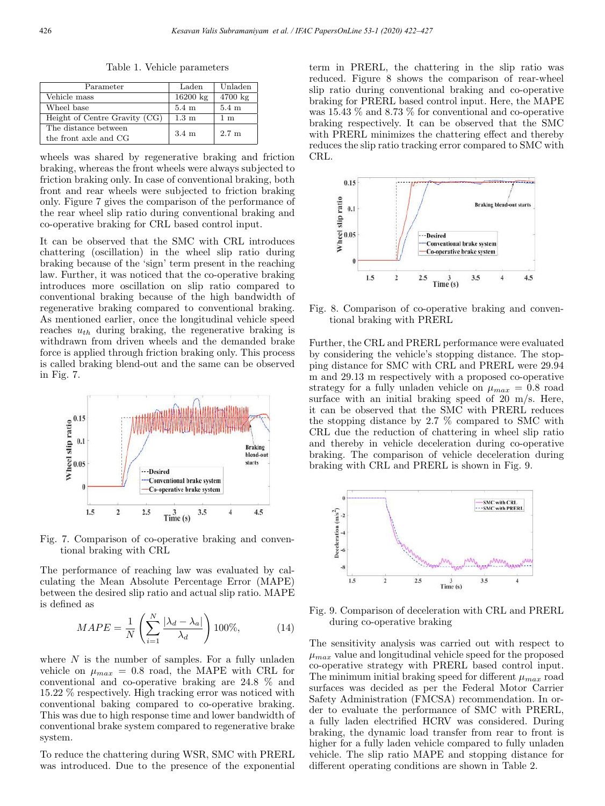Table 1. Vehicle parameters

| Parameter                     | Laden              | Unladen           |  |
|-------------------------------|--------------------|-------------------|--|
| Vehicle mass                  | $16200 \text{ kg}$ | $4700 \text{ kg}$ |  |
| Wheel base                    | $5.4~\mathrm{m}$   | $5.4 \text{ m}$   |  |
| Height of Centre Gravity (CG) | $1.3 \text{ m}$    | 1 m               |  |
| The distance between          | $3.4 \text{ m}$    | $2.7 \text{ m}$   |  |
| the front axle and CG         |                    |                   |  |

wheels was shared by regenerative braking and friction braking, whereas the front wheels were always subjected to friction braking only. In case of conventional braking, both front and rear wheels were subjected to friction braking only. Figure 7 gives the comparison of the performance of the rear wheel slip ratio during conventional braking and co-operative braking for CRL based control input.

It can be observed that the SMC with CRL introduces chattering (oscillation) in the wheel slip ratio during braking because of the 'sign' term present in the reaching law. Further, it was noticed that the co-operative braking introduces more oscillation on slip ratio compared to conventional braking because of the high bandwidth of regenerative braking compared to conventional braking. As mentioned earlier, once the longitudinal vehicle speed reaches  $u_{th}$  during braking, the regenerative braking is withdrawn from driven wheels and the demanded brake force is applied through friction braking only. This process is called braking blend-out and the same can be observed in Fig. 7.



Fig. 7. Comparison of co-operative braking and conventional braking with CRL

The performance of reaching law was evaluated by calculating the Mean Absolute Percentage Error (MAPE) between the desired slip ratio and actual slip ratio. MAPE is defined as

$$
MAPE = \frac{1}{N} \left( \sum_{i=1}^{N} \frac{|\lambda_d - \lambda_a|}{\lambda_d} \right) 100\%,\tag{14}
$$

where  $N$  is the number of samples. For a fully unladen vehicle on  $\mu_{max} = 0.8$  road, the MAPE with CRL for conventional and co-operative braking are 24.8 % and 15.22 % respectively. High tracking error was noticed with conventional baking compared to co-operative braking. This was due to high response time and lower bandwidth of conventional brake system compared to regenerative brake system.

To reduce the chattering during WSR, SMC with PRERL was introduced. Due to the presence of the exponential term in PRERL, the chattering in the slip ratio was reduced. Figure 8 shows the comparison of rear-wheel slip ratio during conventional braking and co-operative braking for PRERL based control input. Here, the MAPE was 15.43 % and 8.73 % for conventional and co-operative braking respectively. It can be observed that the SMC with PRERL minimizes the chattering effect and thereby reduces the slip ratio tracking error compared to SMC with CRL.



Fig. 8. Comparison of co-operative braking and conventional braking with PRERL

Further, the CRL and PRERL performance were evaluated by considering the vehicle's stopping distance. The stopping distance for SMC with CRL and PRERL were 29.94 m and 29.13 m respectively with a proposed co-operative strategy for a fully unladen vehicle on  $\mu_{max} = 0.8$  road surface with an initial braking speed of 20 m/s. Here, it can be observed that the SMC with PRERL reduces the stopping distance by 2.7 % compared to SMC with CRL due the reduction of chattering in wheel slip ratio and thereby in vehicle deceleration during co-operative braking. The comparison of vehicle deceleration during braking with CRL and PRERL is shown in Fig. 9.



Fig. 9. Comparison of deceleration with CRL and PRERL during co-operative braking

The sensitivity analysis was carried out with respect to  $\mu_{max}$  value and longitudinal vehicle speed for the proposed co-operative strategy with PRERL based control input. The minimum initial braking speed for different  $\mu_{max}$  road surfaces was decided as per the Federal Motor Carrier Safety Administration (FMCSA) recommendation. In order to evaluate the performance of SMC with PRERL, a fully laden electrified HCRV was considered. During braking, the dynamic load transfer from rear to front is higher for a fully laden vehicle compared to fully unladen vehicle. The slip ratio MAPE and stopping distance for different operating conditions are shown in Table 2.